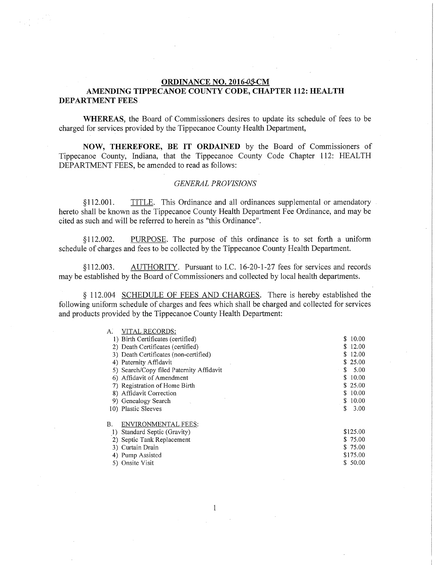## **ORDINANCE NO. 2016-0\$-CM**

## **AMENDING TIPPECANOE COUNTY CODE, CHAPTER 112: HEALTH DEPARTMENT FEES**

**WHEREAS,** the Board of Commissioners desires to update its schedule of fees to be charged for services provided by the Tippecanoe County Health Department,

**NOW, THEREFORE, BE IT ORDAINED** by the Board of Commissioners of Tippecanoe County, Indiana, that the Tippecanoe County Code Chapter 112: HEALTH DEPARTMENT FEES, be amended to read as follows:

## *GENERAL PROVISIONS*

§112.001. TITLE. This Ordinance and all ordinances supplemental or amendatory hereto shall be known as the Tippecanoe County Health Department Fee Ordinance, and may be cited as such and will be referred to herein as "this Ordinance".

§112.002. PURPOSE. The purpose of this ordinance is to set forth a uniform schedule of charges and fees to be collected by the Tippecanoe County Health Department.

§112.003. AUTHORITY. Pursuant to LC. 16-20-1-27 fees for services and records may be established by the Board of Commissioners and collected by local health departments.

§ 112.004 SCHEDULE OF FEES AND CHARGES. There is hereby established the following uniform schedule of charges and fees which shall be charged and collected for services and products provided by the Tippecanoe County Health Department:

| A. | VITAL RECORDS:                           |     |          |
|----|------------------------------------------|-----|----------|
|    | 1) Birth Certificates (certified)        | S.  | 10.00    |
|    | 2) Death Certificates (certified)        | \$. | 12.00    |
|    | 3) Death Certificates (non-certified)    | S.  | 12.00    |
|    | 4) Paternity Affidavit                   |     | \$25.00  |
|    | 5) Search/Copy filed Paternity Affidavit | \$  | 5.00     |
|    | 6) Affidavit of Amendment                | \$  | 10.00    |
|    | 7) Registration of Home Birth            |     | \$25.00  |
|    | 8) Affidavit Correction                  | \$  | 10.00    |
|    | 9) Genealogy Search                      | S.  | 10.00    |
|    | 10) Plastic Sleeves                      | \$  | 3.00     |
|    |                                          |     |          |
| В. | ENVIRONMENTAL FEES:                      |     |          |
|    | Standard Septic (Gravity)                |     | \$125,00 |
|    | 2) Septic Tank Replacement               |     | \$75.00  |
|    | 3) Curtain Drain                         |     | \$75.00  |
|    | 4) Pump Assisted                         |     | \$175.00 |
|    | 5) Onsite Visit                          |     | \$ 50.00 |
|    |                                          |     |          |

 $\mathbf{1}$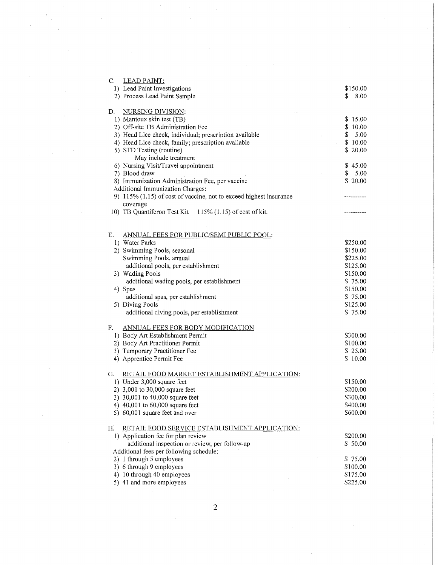| $C_{1}$<br><b>LEAD PAINT:</b>                                                              |                      |
|--------------------------------------------------------------------------------------------|----------------------|
| 1) Lead Paint Investigations                                                               | \$150.00             |
| 2) Process Lead Paint Sample                                                               | \$<br>8.00           |
|                                                                                            |                      |
| NURSING DIVISION:<br>D.                                                                    |                      |
| 1) Mantoux skin test (TB)                                                                  | \$15.00              |
| 2) Off-site TB Administration Fee                                                          | \$10.00              |
| 3) Head Lice check, individual; prescription available                                     | $\mathbb{S}$<br>5.00 |
| 4) Head Lice check, family; prescription available                                         | \$10.00<br>$\sim$    |
| 5) STD Testing (routine)                                                                   | \$20.00              |
| May include treatment                                                                      |                      |
| 6) Nursing Visit/Travel appointment                                                        | \$45.00              |
| 7) Blood draw                                                                              | \$5.00               |
| 8) Immunization Administration Fee, per vaccine                                            | \$20.00              |
| Additional Immunization Charges:                                                           |                      |
| 9) 115% (1.15) of cost of vaccine, not to exceed highest insurance                         | ----------           |
| coverage                                                                                   |                      |
| 10) TB Quantiferon Test Kit 115% (1.15) of cost of kit.                                    |                      |
|                                                                                            |                      |
|                                                                                            |                      |
| ANNUAL FEES FOR PUBLIC/SEMI PUBLIC POOL:<br>Е.                                             |                      |
| 1) Water Parks                                                                             | \$250.00             |
| 2) Swimming Pools, seasonal                                                                | \$150.00             |
| Swimming Pools, annual                                                                     | \$225.00             |
| additional pools, per establishment                                                        | \$125.00             |
| 3) Wading Pools                                                                            | \$150.00             |
| additional wading pools, per establishment                                                 | \$75.00              |
| 4) Spas                                                                                    | \$150.00             |
| additional spas, per establishment                                                         | \$75,00              |
| 5) Diving Pools                                                                            | \$125.00             |
| additional diving pools, per establishment                                                 | \$75.00              |
| F.<br>ANNUAL FEES FOR BODY MODIFICATION                                                    |                      |
| 1) Body Art Establishment Permit                                                           | \$300.00             |
| 2) Body Art Practitioner Permit                                                            | \$100.00             |
| 3) Temporary Practitioner Fee                                                              | \$25.00              |
| 4) Apprentice Permit Fee                                                                   | \$10.00              |
|                                                                                            |                      |
| <b>RETAIL FOOD MARKET ESTABLISHMENT APPLICATION:</b><br>G.                                 |                      |
| 1) Under 3,000 square feet                                                                 | \$150.00             |
| 2) 3,001 to 30,000 square feet                                                             | \$200.00             |
| 3) 30,001 to 40,000 square feet                                                            | \$300.00             |
| 4) 40,001 to 60,000 square feet                                                            | \$400.00             |
| 5) 60,001 square feet and over                                                             | \$600.00             |
|                                                                                            |                      |
| Н.<br>RETAIL FOOD SERVICE ESTABLISHMENT APPLICATION:<br>1) Application fee for plan review | \$200.00             |
| additional inspection or review, per follow-up                                             | \$50.00              |
| Additional fees per following schedule:                                                    |                      |
| 2) 1 through 5 employees                                                                   | \$75.00              |
| 3) 6 through 9 employees                                                                   | \$100.00             |
| 4) 10 through 40 employees                                                                 | \$175.00             |
| 5) 41 and more employees                                                                   | \$225.00             |
|                                                                                            |                      |

2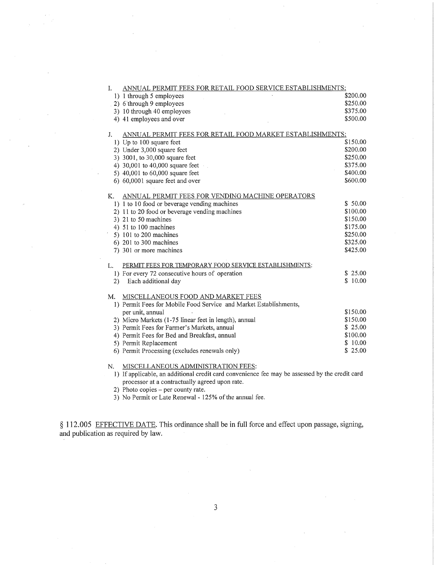| I.                                                                                             | ANNUAL PERMIT FEES FOR RETAIL FOOD SERVICE ESTABLISHMENTS: |  |  |  |
|------------------------------------------------------------------------------------------------|------------------------------------------------------------|--|--|--|
| 1) 1 through 5 employees                                                                       | \$200.00                                                   |  |  |  |
| 2) 6 through 9 employees                                                                       | \$250.00                                                   |  |  |  |
| 3) 10 through 40 employees                                                                     | \$375.00                                                   |  |  |  |
| 4) 41 employees and over                                                                       | \$500.00                                                   |  |  |  |
|                                                                                                |                                                            |  |  |  |
| J.                                                                                             | ANNUAL PERMIT FEES FOR RETAIL FOOD MARKET ESTABLISHMENTS:  |  |  |  |
| 1) Up to 100 square feet                                                                       | \$150.00                                                   |  |  |  |
| 2) Under 3,000 square feet                                                                     | \$200.00                                                   |  |  |  |
| 3) 3001, to 30,000 square feet                                                                 | \$250.00                                                   |  |  |  |
| 4) 30,001 to 40,000 square feet                                                                | \$375.00                                                   |  |  |  |
| 5) 40,001 to 60,000 square feet                                                                | \$400.00                                                   |  |  |  |
| 6) 60,0001 square feet and over                                                                | \$600.00                                                   |  |  |  |
|                                                                                                |                                                            |  |  |  |
| Κ.<br>ANNUAL PERMIT FEES FOR VENDING MACHINE OPERATORS                                         |                                                            |  |  |  |
| 1) 1 to 10 food or beverage vending machines                                                   | \$50.00                                                    |  |  |  |
| 2) 11 to 20 food or beverage vending machines                                                  | \$100.00                                                   |  |  |  |
| 3) 21 to 50 machines                                                                           | \$150.00                                                   |  |  |  |
| 4) 51 to 100 machines                                                                          | \$175.00                                                   |  |  |  |
| 5) 101 to 200 machines                                                                         | \$250.00                                                   |  |  |  |
| $6)$ 201 to 300 machines                                                                       | \$325.00                                                   |  |  |  |
| 7) 301 or more machines                                                                        | \$425.00                                                   |  |  |  |
| PERMIT FEES FOR TEMPORARY FOOD SERVICE ESTABLISHMENTS:<br>L.                                   |                                                            |  |  |  |
| 1) For every 72 consecutive hours of operation                                                 | \$25.00                                                    |  |  |  |
| Each additional day<br>2)                                                                      | \$10.00                                                    |  |  |  |
|                                                                                                |                                                            |  |  |  |
| MISCELLANEOUS FOOD AND MARKET FEES<br>M.                                                       |                                                            |  |  |  |
| 1) Permit Fees for Mobile Food Service and Market Establishments,                              |                                                            |  |  |  |
| per unit, annual                                                                               | \$150.00                                                   |  |  |  |
| 2) Micro Markets (1-75 linear feet in length), annual                                          | \$150.00                                                   |  |  |  |
| 3) Permit Fees for Farmer's Markets, annual                                                    | \$25.00                                                    |  |  |  |
| 4) Permit Fees for Bed and Breakfast, annual                                                   | \$100.00                                                   |  |  |  |
| 5) Permit Replacement                                                                          | \$10.00                                                    |  |  |  |
| 6) Permit Processing (excludes renewals only)                                                  | \$25.00                                                    |  |  |  |
|                                                                                                |                                                            |  |  |  |
| MISCELLANEOUS ADMINISTRATION FEES:<br>N.                                                       |                                                            |  |  |  |
| 1) If applicable, an additional credit card convenience fee may be assessed by the credit card |                                                            |  |  |  |

processor at a contractually agreed upon rate.

2) Photo copies - per county rate.

3) No Permit or Late Renewal - 125% of the annual fee.

§ 112.005 EFFECTIVE DATE. This ordinance shall be in full force and effect upon passage, signing, and publication as required by law.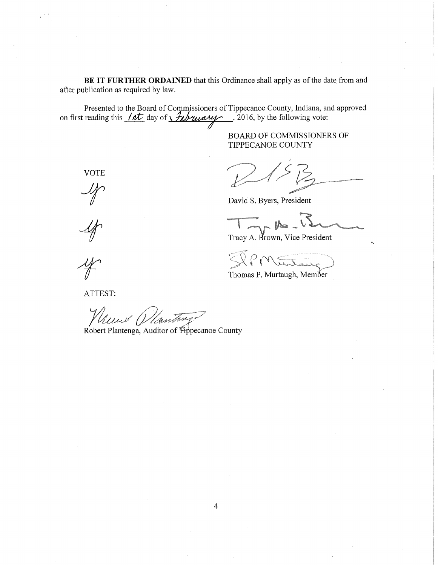BE IT FURTHER ORDAINED that this Ordinance shall apply as of the date from and after publication as required by law.

Presented to the Board of Commissioners of Tippecanoe County, Indiana, and approved on first reading this  $\sqrt{\frac{at}{\sqrt{t}}}$  day of  $\sqrt{\frac{t}{\sqrt{t}}}$  and  $\sqrt{t}$  . 2016, by the following vote:

> BOARD OF COMMISSIONERS OF TIPPECANOE COUNTY

David S. Byers, President

 $T_{\sim}$ 

Tracy A. Brown, Vice President

 $\gtrsim$   $\vee$   $\rho$   $\sim$   $\qquad$ Mutay)

Thomas P. Murtaugh, Member

VOTE

 $\mathcal{A}$ 

ATTEST:

Heur Wanting?

Robert Plantenga, Auditor of Fippecanoe County